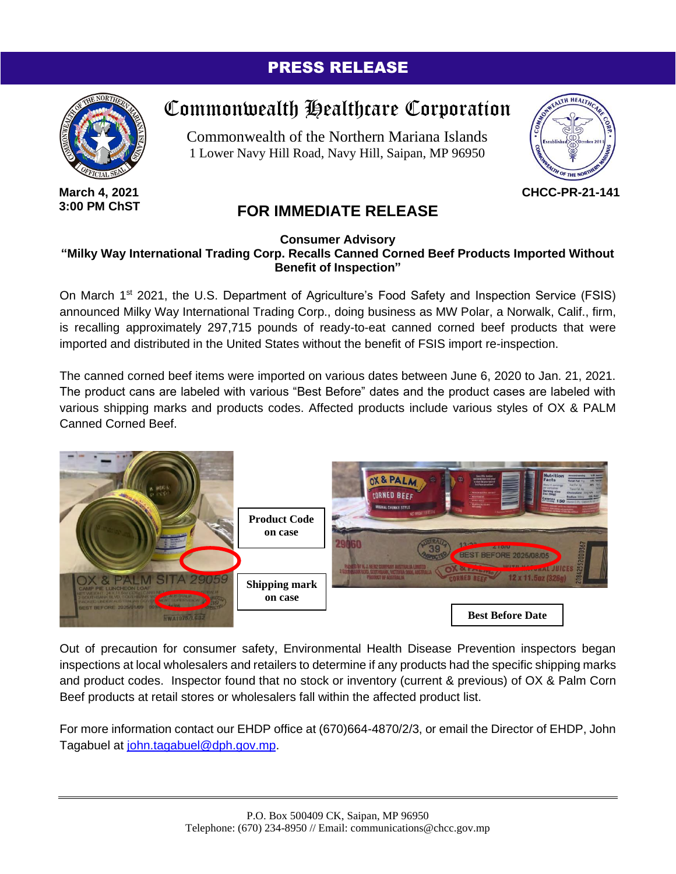## PRESS RELEASE



**March 4, 2021 3:00 PM ChST**

## Commonwealth Healthcare Corporation

Commonwealth of the Northern Mariana Islands 1 Lower Navy Hill Road, Navy Hill, Saipan, MP 96950



**CHCC-PR-21-141**

## **FOR IMMEDIATE RELEASE**

## **Consumer Advisory "Milky Way International Trading Corp. Recalls Canned Corned Beef Products Imported Without Benefit of Inspection"**

On March 1<sup>st</sup> 2021, the U.S. Department of Agriculture's Food Safety and Inspection Service (FSIS) announced Milky Way International Trading Corp., doing business as MW Polar, a Norwalk, Calif., firm, is recalling approximately 297,715 pounds of ready-to-eat canned corned beef products that were imported and distributed in the United States without the benefit of FSIS import re-inspection.

The canned corned beef items were imported on various dates between June 6, 2020 to Jan. 21, 2021. The product cans are labeled with various "Best Before" dates and the product cases are labeled with various shipping marks and products codes. Affected products include various styles of OX & PALM Canned Corned Beef.



Out of precaution for consumer safety, Environmental Health Disease Prevention inspectors began inspections at local wholesalers and retailers to determine if any products had the specific shipping marks and product codes. Inspector found that no stock or inventory (current & previous) of OX & Palm Corn Beef products at retail stores or wholesalers fall within the affected product list.

For more information contact our EHDP office at (670)664-4870/2/3, or email the Director of EHDP, John Tagabuel at [john.tagabuel@dph.gov.mp.](mailto:john.tagabuel@dph.gov.mp)